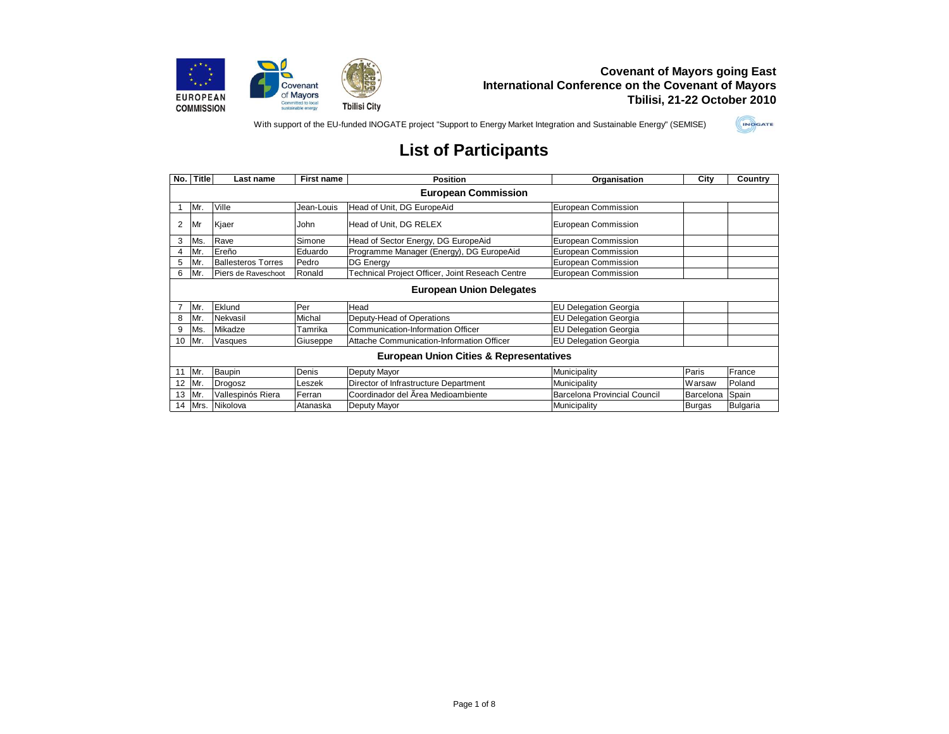

With support of the EU-funded INOGATE project "Support to Energy Market Integration and Sustainable Energy" (SEMISE)



| No.            | <b>Title</b>                                       | Last name                 | First name | <b>Position</b>                                 | Organisation                 | City      | Country         |  |  |
|----------------|----------------------------------------------------|---------------------------|------------|-------------------------------------------------|------------------------------|-----------|-----------------|--|--|
|                | <b>European Commission</b>                         |                           |            |                                                 |                              |           |                 |  |  |
|                | Mr.                                                | Ville                     | Jean-Louis | Head of Unit, DG EuropeAid                      | <b>European Commission</b>   |           |                 |  |  |
| $\overline{2}$ | Mr                                                 | Kjaer                     | John       | Head of Unit, DG RELEX                          | European Commission          |           |                 |  |  |
| 3              | Ms.                                                | Rave                      | Simone     | Head of Sector Energy, DG EuropeAid             | European Commission          |           |                 |  |  |
| 4              | Mr                                                 | Ereño                     | Eduardo    | Programme Manager (Energy), DG EuropeAid        | European Commission          |           |                 |  |  |
| 5              | Mr.                                                | <b>Ballesteros Torres</b> | Pedro      | <b>DG Energy</b>                                | European Commission          |           |                 |  |  |
| 6              | Mr.                                                | Piers de Raveschoot       | Ronald     | Technical Project Officer, Joint Reseach Centre | <b>European Commission</b>   |           |                 |  |  |
|                | <b>European Union Delegates</b>                    |                           |            |                                                 |                              |           |                 |  |  |
|                | Mr.                                                | Eklund                    | Per        | Head                                            | <b>EU Delegation Georgia</b> |           |                 |  |  |
| 8              | Mr.                                                | Nekvasil                  | Michal     | Deputy-Head of Operations                       | <b>EU Delegation Georgia</b> |           |                 |  |  |
| 9              | Ms.                                                | Mikadze                   | Tamrika    | Communication-Information Officer               | <b>EU Delegation Georgia</b> |           |                 |  |  |
| 10             | Mr.                                                | Vasques                   | Giuseppe   | Attache Communication-Information Officer       | <b>EU Delegation Georgia</b> |           |                 |  |  |
|                | <b>European Union Cities &amp; Representatives</b> |                           |            |                                                 |                              |           |                 |  |  |
| 11             | Mr.                                                | Baupin                    | Denis      | Deputy Mayor                                    | Municipality                 | Paris     | France          |  |  |
| 12             | Mr.                                                | Drogosz                   | Leszek     | Director of Infrastructure Department           | Municipality                 | Warsaw    | Poland          |  |  |
| 13             | Mr.                                                | Vallespinós Riera         | Ferran     | Coordinador del Area Medioambiente              | Barcelona Provincial Council | Barcelona | Spain           |  |  |
| 14             |                                                    | Mrs. Nikolova             | Atanaska   | Deputy Mayor                                    | Municipality                 | Burgas    | <b>Bulgaria</b> |  |  |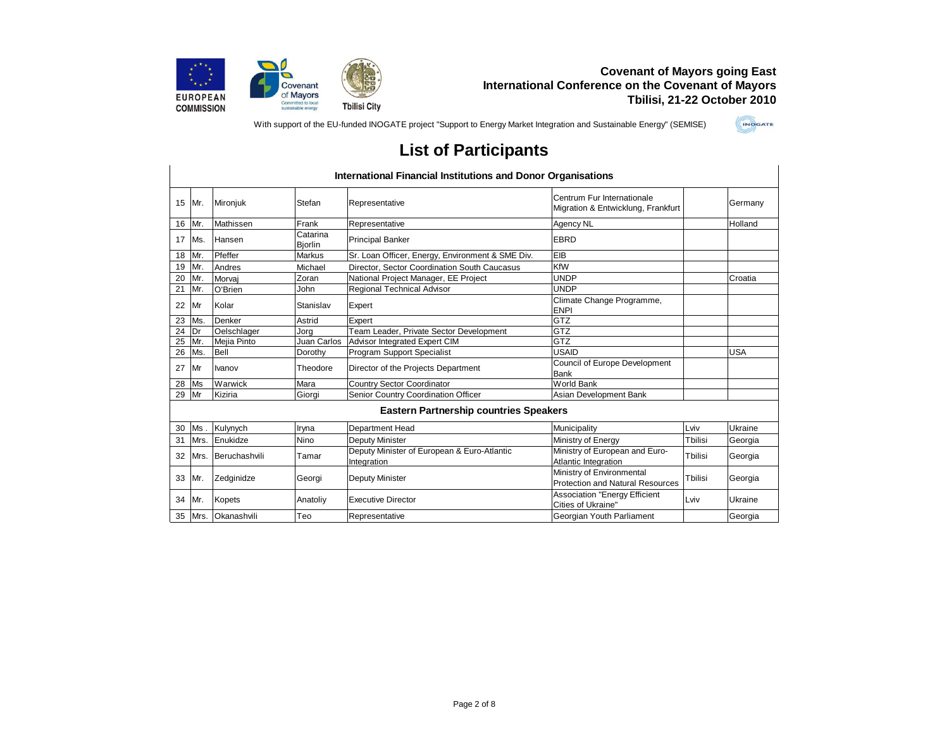

With support of the EU-funded INOGATE project "Support to Energy Market Integration and Sustainable Energy" (SEMISE)



|    |            |               |                            | <b>International Financial Institutions and Donor Organisations</b> |                                                                      |         |            |
|----|------------|---------------|----------------------------|---------------------------------------------------------------------|----------------------------------------------------------------------|---------|------------|
| 15 | Mr.        | Mironjuk      | Stefan                     | Representative                                                      | Centrum Fur Internationale<br>Migration & Entwicklung, Frankfurt     |         | Germany    |
| 16 | Mr.        | Mathissen     | Frank                      | Representative                                                      | <b>Agency NL</b>                                                     |         | Holland    |
| 17 | Ms.        | Hansen        | Catarina<br><b>Biorlin</b> | <b>Principal Banker</b>                                             | <b>EBRD</b>                                                          |         |            |
| 18 | Mr.        | Pfeffer       | <b>Markus</b>              | Sr. Loan Officer, Energy, Environment & SME Div.                    | EIB                                                                  |         |            |
| 19 | Mr.        | Andres        | Michael                    | Director, Sector Coordination South Caucasus                        | KfW                                                                  |         |            |
| 20 | Mr.        | Morvaj        | Zoran                      | National Project Manager, EE Project                                | <b>UNDP</b>                                                          |         | Croatia    |
| 21 | Mr.        | O'Brien       | John                       | Regional Technical Advisor                                          | <b>UNDP</b>                                                          |         |            |
| 22 | Mr         | Kolar         | Stanislav                  | Expert                                                              | Climate Change Programme,<br><b>ENPI</b>                             |         |            |
| 23 | Ms.        | Denker        | Astrid                     | Expert                                                              | <b>GTZ</b>                                                           |         |            |
| 24 | <b>IDr</b> | Oelschlager   | Jora                       | Team Leader, Private Sector Development                             | <b>GTZ</b>                                                           |         |            |
| 25 | Mr.        | Mejia Pinto   | Juan Carlos                | Advisor Integrated Expert CIM                                       | GTZ                                                                  |         |            |
| 26 | Ms.        | Bell          | Dorothy                    | <b>Program Support Specialist</b>                                   | <b>USAID</b>                                                         |         | <b>USA</b> |
| 27 | Mr         | <b>Ivanov</b> | Theodore                   | Director of the Projects Department                                 | Council of Europe Development<br><b>Bank</b>                         |         |            |
| 28 | <b>Ms</b>  | Warwick       | Mara                       | <b>Country Sector Coordinator</b>                                   | <b>World Bank</b>                                                    |         |            |
| 29 | Mr         | Kiziria       | Giorgi                     | Senior Country Coordination Officer                                 | Asian Development Bank                                               |         |            |
|    |            |               |                            | <b>Eastern Partnership countries Speakers</b>                       |                                                                      |         |            |
| 30 | Ms.        | Kulynych      | Iryna                      | Department Head                                                     | Municipality                                                         | Lviv    | Ukraine    |
| 31 | Mrs.       | Enukidze      | Nino                       | <b>Deputy Minister</b>                                              | Ministry of Energy                                                   | Tbilisi | Georgia    |
| 32 | Mrs.       | Beruchashvili | Tamar                      | Deputy Minister of European & Euro-Atlantic<br>Integration          | Ministry of European and Euro-<br><b>Atlantic Integration</b>        | Tbilisi | Georgia    |
| 33 | Mr.        | Zedginidze    | Georgi                     | <b>Deputy Minister</b>                                              | Ministry of Environmental<br><b>Protection and Natural Resources</b> | Tbilisi | Georgia    |
| 34 | Mr.        | <b>Kopets</b> | Anatoliy                   | <b>Executive Director</b>                                           | <b>Association "Energy Efficient</b><br>Cities of Ukraine"           | Lviv    | Ukraine    |
| 35 | Mrs.       | Okanashvili   | Teo                        | Representative                                                      | Georgian Youth Parliament                                            |         | Georgia    |
|    |            |               |                            |                                                                     |                                                                      |         |            |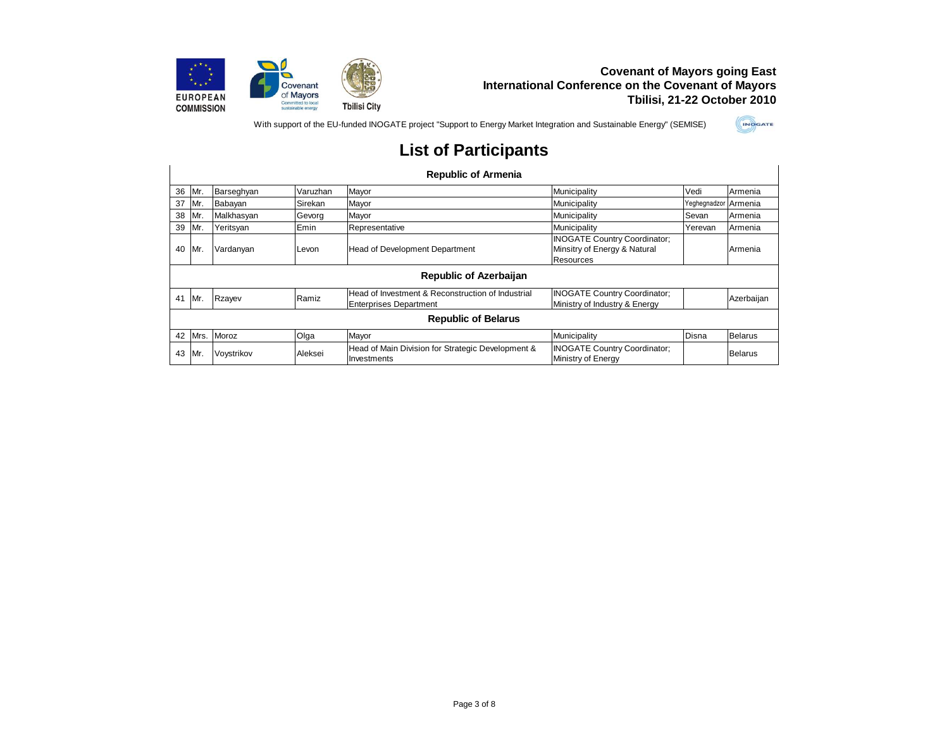

With support of the EU-funded INOGATE project "Support to Energy Market Integration and Sustainable Energy" (SEMISE)



|    |      |            |          | <b>Republic of Armenia</b>                                                         |                                                                                  |                      |                |
|----|------|------------|----------|------------------------------------------------------------------------------------|----------------------------------------------------------------------------------|----------------------|----------------|
| 36 | Mr.  | Barseghyan | Varuzhan | Mayor                                                                              | Municipality                                                                     | Vedi                 | Armenia        |
| 37 | IMr. | Babayan    | Sirekan  | Mayor                                                                              | Municipality                                                                     | Yeghegnadzor Armenia |                |
| 38 | Mr.  | Malkhasyan | Gevorg   | Mayor                                                                              | Municipality                                                                     | Sevan                | Armenia        |
| 39 | Mr.  | Yeritsyan  | Emin     | Representative                                                                     | Municipality                                                                     | Yerevan              | Armenia        |
| 40 | Mr.  | Vardanyan  | Levon    | Head of Development Department                                                     | <b>INOGATE Country Coordinator:</b><br>Minsitry of Energy & Natural<br>Resources |                      | Armenia        |
|    |      |            |          | <b>Republic of Azerbaijan</b>                                                      |                                                                                  |                      |                |
| 41 | IMr. | Rzayev     | Ramiz    | Head of Investment & Reconstruction of Industrial<br><b>Enterprises Department</b> | <b>INOGATE Country Coordinator;</b><br>Ministry of Industry & Energy             |                      | Azerbaijan     |
|    |      |            |          | <b>Republic of Belarus</b>                                                         |                                                                                  |                      |                |
| 42 | Mrs. | Moroz      | Olga     | Mayor                                                                              | Municipality                                                                     | Disna                | Belarus        |
| 43 | Mr.  | Voystrikov | Aleksei  | Head of Main Division for Strategic Development &<br>Investments                   | <b>INOGATE Country Coordinator:</b><br>Ministry of Energy                        |                      | <b>Belarus</b> |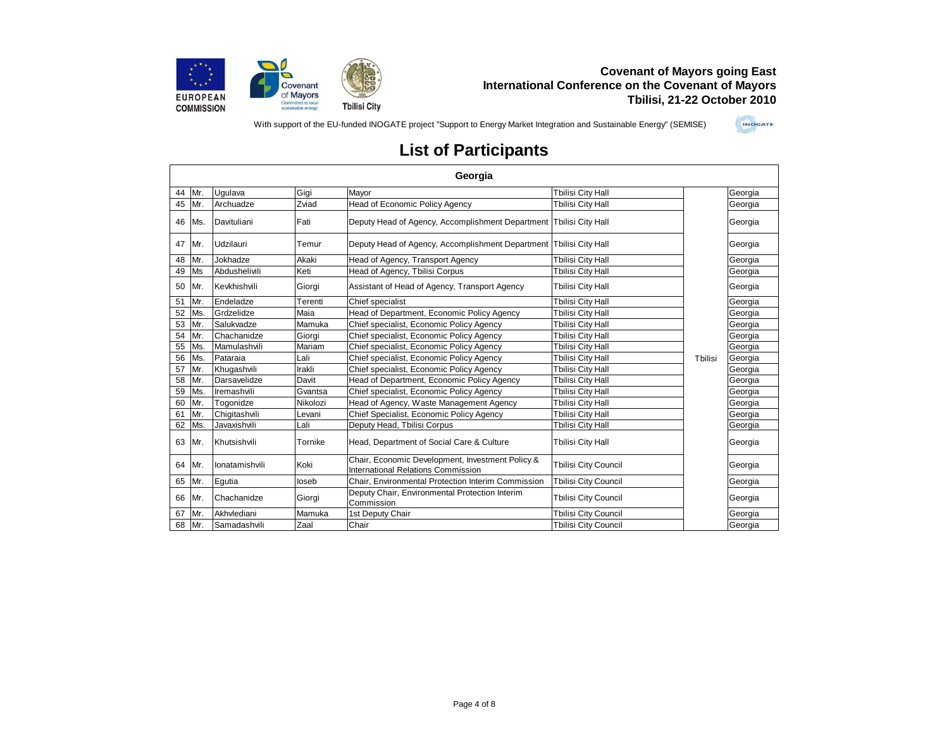

With support of the EU-funded INOGATE project "Support to Energy Market Integration and Sustainable Energy" (SEMISE)



|    |     |                |          | Georgia                                                                                |                             |         |         |
|----|-----|----------------|----------|----------------------------------------------------------------------------------------|-----------------------------|---------|---------|
| 44 | Mr. | Uqulava        | Gigi     | Mayor                                                                                  | <b>Tbilisi City Hall</b>    |         | Georgia |
| 45 | Mr. | Archuadze      | Zviad    | Head of Economic Policy Agency                                                         | <b>Tbilisi City Hall</b>    | Tbilisi | Georgia |
| 46 | Ms. | Davituliani    | Fati     | Deputy Head of Agency, Accomplishment Department Tbilisi City Hall                     |                             |         | Georgia |
| 47 | Mr. | Udzilauri      | Temur    | Deputy Head of Agency, Accomplishment Department Tbilisi City Hall                     |                             |         | Georgia |
| 48 | Mr. | Jokhadze       | Akaki    | Head of Agency, Transport Agency                                                       | <b>Tbilisi City Hall</b>    |         | Georgia |
| 49 | Ms  | Abdushelivili  | Keti     | Head of Agency, Tbilisi Corpus                                                         | <b>Tbilisi City Hall</b>    |         | Georgia |
| 50 | Mr. | Kevkhishvili   | Giorgi   | Assistant of Head of Agency, Transport Agency                                          | Tbilisi City Hall           |         | Georgia |
| 51 | Mr. | Endeladze      | Terenti  | Chief specialist                                                                       | <b>Tbilisi City Hall</b>    |         | Georgia |
| 52 | Ms. | Grdzelidze     | Maia     | Head of Department, Economic Policy Agency                                             | <b>Tbilisi City Hall</b>    |         | Georgia |
| 53 | Mr. | Salukvadze     | Mamuka   | Chief specialist, Economic Policy Agency                                               | Tbilisi City Hall           |         | Georgia |
| 54 | Mr. | Chachanidze    | Giorgi   | Chief specialist, Economic Policy Agency                                               | <b>Tbilisi City Hall</b>    |         | Georgia |
| 55 | Ms. | Mamulashvili   | Mariam   | Chief specialist, Economic Policy Agency                                               | <b>Tbilisi City Hall</b>    |         | Georgia |
| 56 | Ms. | Pataraia       | Lali     | Chief specialist, Economic Policy Agency                                               | <b>Tbilisi City Hall</b>    |         | Georgia |
| 57 | Mr. | Khugashvili    | Irakli   | Chief specialist, Economic Policy Agency                                               | <b>Tbilisi City Hall</b>    |         | Georgia |
| 58 | Mr. | Darsavelidze   | Davit    | Head of Department, Economic Policy Agency                                             | <b>Tbilisi City Hall</b>    |         | Georgia |
| 59 | Ms. | Iremashvili    | Gvantsa  | Chief specialist, Economic Policy Agency                                               | <b>Tbilisi City Hall</b>    |         | Georgia |
| 60 | Mr. | Togonidze      | Nikolozi | Head of Agency, Waste Management Agency                                                | Tbilisi City Hall           |         | Georgia |
| 61 | Mr. | Chigitashvili  | Levani   | Chief Specialist, Economic Policy Agency                                               | <b>Tbilisi City Hall</b>    |         | Georgia |
| 62 | Ms. | Javaxishvili   | Lali     | Deputy Head, Tbilisi Corpus                                                            | Tbilisi City Hall           |         | Georgia |
| 63 | Mr. | Khutsishvili   | Tornike  | Head, Department of Social Care & Culture                                              | <b>Tbilisi City Hall</b>    |         | Georgia |
| 64 | Mr. | lonatamishvili | Koki     | Chair, Economic Development, Investment Policy &<br>International Relations Commission | <b>Tbilisi City Council</b> |         | Georgia |
| 65 | Mr. | Egutia         | loseb    | Chair. Environmental Protection Interim Commission                                     | <b>Tbilisi City Council</b> |         | Georgia |
| 66 | Mr. | Chachanidze    | Giorgi   | Deputy Chair, Environmental Protection Interim<br>Commission                           | <b>Tbilisi City Council</b> |         | Georgia |
| 67 | Mr. | Akhvlediani    | Mamuka   | 1st Deputy Chair                                                                       | <b>Tbilisi City Council</b> |         | Georgia |
| 68 | Mr. | Samadashvili   | Zaal     | Chair                                                                                  | <b>Tbilisi City Council</b> |         | Georgia |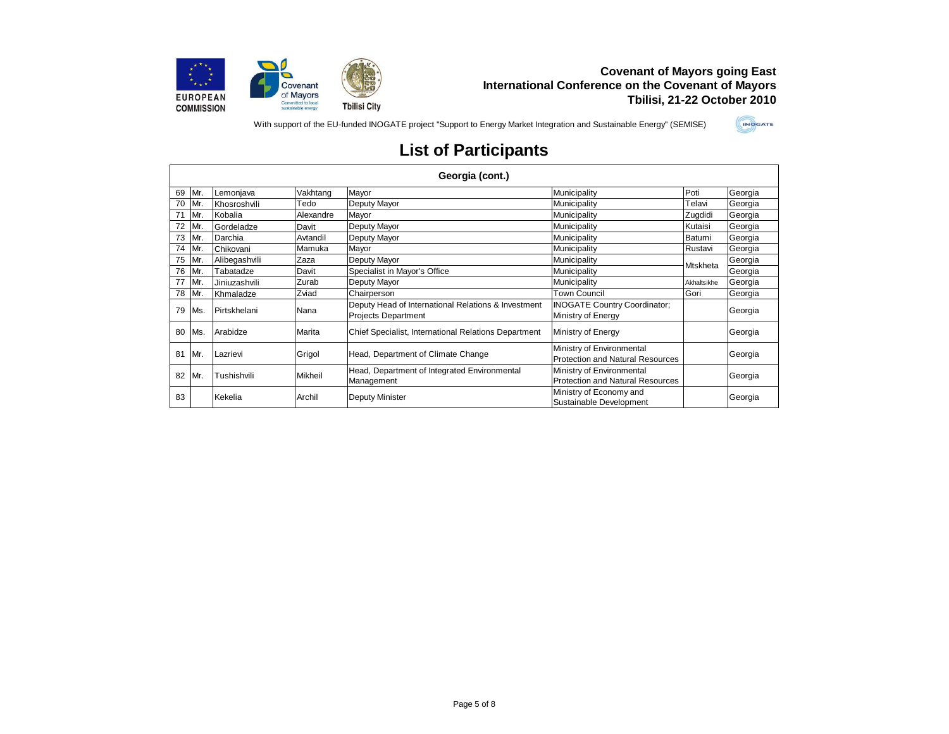

With support of the EU-funded INOGATE project "Support to Energy Market Integration and Sustainable Energy" (SEMISE)



|    |     | Georgia (cont.) |           |                                                                                   |                                                                      |                 |         |  |  |  |
|----|-----|-----------------|-----------|-----------------------------------------------------------------------------------|----------------------------------------------------------------------|-----------------|---------|--|--|--|
| 69 | Mr. | Lemonjava       | Vakhtang  | Mayor                                                                             | Municipality                                                         | Poti            | Georgia |  |  |  |
| 70 | Mr. | Khosroshvili    | Tedo      | Deputy Mayor                                                                      | Municipality                                                         | Telavi          | Georgia |  |  |  |
| 71 | Mr. | Kobalia         | Alexandre | Mayor                                                                             | Municipality                                                         | Zugdidi         | Georgia |  |  |  |
| 72 | Mr. | Gordeladze      | Davit     | Deputy Mayor                                                                      | Municipality                                                         | Kutaisi         | Georgia |  |  |  |
| 73 | Mr. | Darchia         | Avtandil  | Deputy Mayor                                                                      | Municipality                                                         | Batumi          | Georgia |  |  |  |
| 74 | Mr. | Chikovani       | Mamuka    | Mayor                                                                             | Municipality                                                         | Rustavi         | Georgia |  |  |  |
| 75 | Mr. | Alibegashvili   | Zaza      | Deputy Mayor                                                                      | Municipality                                                         | <b>Mtskheta</b> | Georgia |  |  |  |
| 76 | Mr. | Tabatadze       | Davit     | Specialist in Mayor's Office                                                      | Municipality                                                         |                 | Georgia |  |  |  |
| 77 | Mr. | Jiniuzashvili   | Zurab     | Deputy Mayor                                                                      | Municipality                                                         | Akhaltsikhe     | Georgia |  |  |  |
| 78 | Mr. | Khmaladze       | Zviad     | Chairperson                                                                       | Town Council                                                         | Gori            | Georgia |  |  |  |
| 79 | Ms. | Pirtskhelani    | Nana      | Deputy Head of International Relations & Investment<br><b>Projects Department</b> | <b>INOGATE Country Coordinator;</b><br>Ministry of Energy            |                 | Georgia |  |  |  |
| 80 | Ms. | Arabidze        | Marita    | Chief Specialist, International Relations Department                              | Ministry of Energy                                                   |                 | Georgia |  |  |  |
| 81 | Mr. | Lazrievi        | Grigol    | Head, Department of Climate Change                                                | Ministry of Environmental<br>Protection and Natural Resources        |                 | Georgia |  |  |  |
| 82 | Mr. | Tushishvili     | Mikheil   | Head, Department of Integrated Environmental<br>Management                        | Ministry of Environmental<br><b>Protection and Natural Resources</b> |                 | Georgia |  |  |  |
| 83 |     | Kekelia         | Archil    | <b>Deputy Minister</b>                                                            | Ministry of Economy and<br>Sustainable Development                   |                 | Georgia |  |  |  |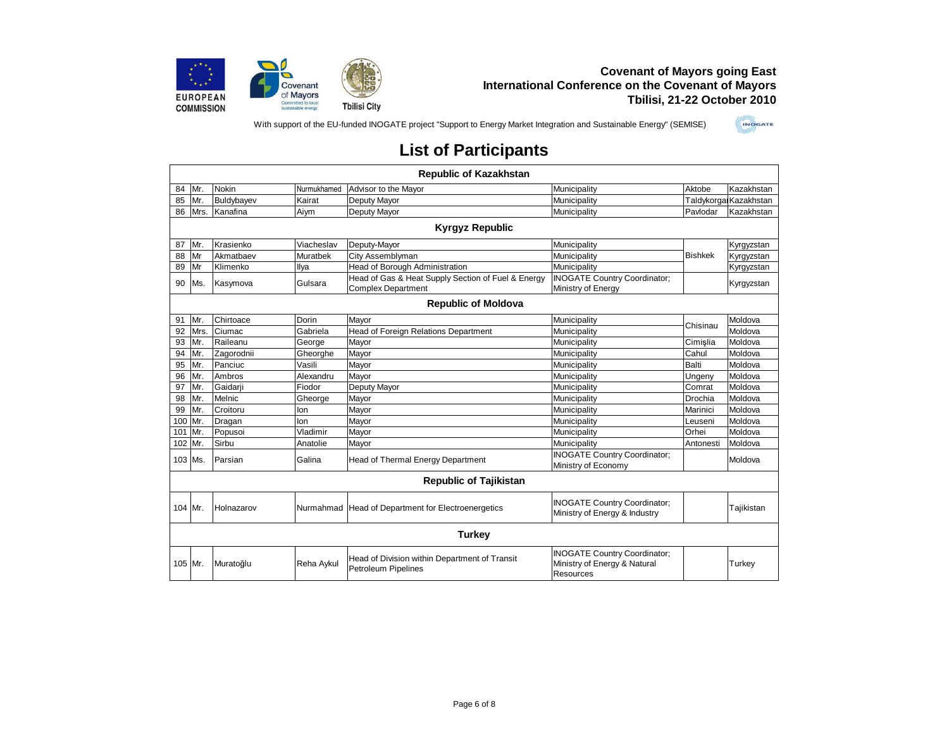

With support of the EU-funded INOGATE project "Support to Energy Market Integration and Sustainable Energy" (SEMISE)



|         |      |              |                 | <b>Republic of Kazakhstan</b>                                                   |                                                                                  |                |                        |
|---------|------|--------------|-----------------|---------------------------------------------------------------------------------|----------------------------------------------------------------------------------|----------------|------------------------|
| 84      | Mr.  | <b>Nokin</b> | Nurmukhamed     | Advisor to the Mayor                                                            | Municipality                                                                     | Aktobe         | Kazakhstan             |
| 85      | Mr.  | Buldybayev   | Kairat          | Deputy Mayor                                                                    | Municipality                                                                     |                | Taldykorgal Kazakhstan |
| 86      | Mrs. | Kanafina     | Aiym            | Deputy Mayor                                                                    | Municipality                                                                     | Pavlodar       | Kazakhstan             |
|         |      |              |                 | <b>Kyrgyz Republic</b>                                                          |                                                                                  |                |                        |
| 87      | Mr.  | Krasienko    | Viacheslav      | Deputy-Mayor                                                                    | Municipality                                                                     |                | Kyrgyzstan             |
| 88      | Mr   | Akmatbaev    | <b>Muratbek</b> | City Assemblyman                                                                | Municipality                                                                     | <b>Bishkek</b> | Kyrgyzstan             |
| 89      | Mr   | Klimenko     | Ilya            | Head of Borough Administration                                                  | Municipality                                                                     |                | Kyrgyzstan             |
| 90      | Ms.  | Kasymova     | Gulsara         | Head of Gas & Heat Supply Section of Fuel & Energy<br><b>Complex Department</b> | <b>INOGATE Country Coordinator;</b><br>Ministry of Energy                        |                | Kyrgyzstan             |
|         |      |              |                 | <b>Republic of Moldova</b>                                                      |                                                                                  |                |                        |
| 91      | Mr.  | Chirtoace    | Dorin           | Mavor                                                                           | Municipality                                                                     | Chisinau       | Moldova                |
| 92      | Mrs. | Ciumac       | Gabriela        | <b>Head of Foreign Relations Department</b>                                     | Municipality                                                                     |                | Moldova                |
| 93      | Mr.  | Raileanu     | George          | Mayor                                                                           | Municipality                                                                     | Cimislia       | Moldova                |
| 94      | Mr.  | Zagorodnii   | Gheorghe        | Mayor                                                                           | Municipality                                                                     | Cahul          | Moldova                |
| 95      | Mr.  | Panciuc      | Vasili          | Mayor                                                                           | Municipality                                                                     | <b>Balti</b>   | Moldova                |
| 96      | Mr.  | Ambros       | Alexandru       | Mayor                                                                           | Municipality                                                                     | Ungeny         | Moldova                |
| 97      | Mr.  | Gaidarji     | Fiodor          | Deputy Mayor                                                                    | Municipality                                                                     | Comrat         | Moldova                |
| 98      | Mr.  | Melnic       | Gheorge         | Mayor                                                                           | Municipality                                                                     | Drochia        | Moldova                |
| 99      | Mr.  | Croitoru     | lon             | Mayor                                                                           | Municipality                                                                     | Marinici       | Moldova                |
| 100     | Mr.  | Dragan       | lon             | Mayor                                                                           | Municipality                                                                     | Leuseni        | Moldova                |
| 101     | Mr.  | Popusoi      | Vladimir        | Mayor                                                                           | Municipality                                                                     | Orhei          | Moldova                |
| 102     | Mr.  | Sirbu        | Anatolie        | Mayor                                                                           | Municipality                                                                     | Antonesti      | Moldova                |
| 103 Ms. |      | Parsian      | Galina          | Head of Thermal Energy Department                                               | <b>INOGATE Country Coordinator;</b><br>Ministry of Economy                       |                | Moldova                |
|         |      |              |                 | <b>Republic of Tajikistan</b>                                                   |                                                                                  |                |                        |
| 104 Mr. |      | Holnazarov   | Nurmahmad       | <b>Head of Department for Electroenergetics</b>                                 | <b>INOGATE Country Coordinator:</b><br>Ministry of Energy & Industry             |                | Tajikistan             |
|         |      |              |                 | <b>Turkey</b>                                                                   |                                                                                  |                |                        |
| 105 Mr. |      | Muratoğlu    | Reha Aykul      | Head of Division within Department of Transit<br><b>Petroleum Pipelines</b>     | <b>INOGATE Country Coordinator:</b><br>Ministry of Energy & Natural<br>Resources |                | Turkey                 |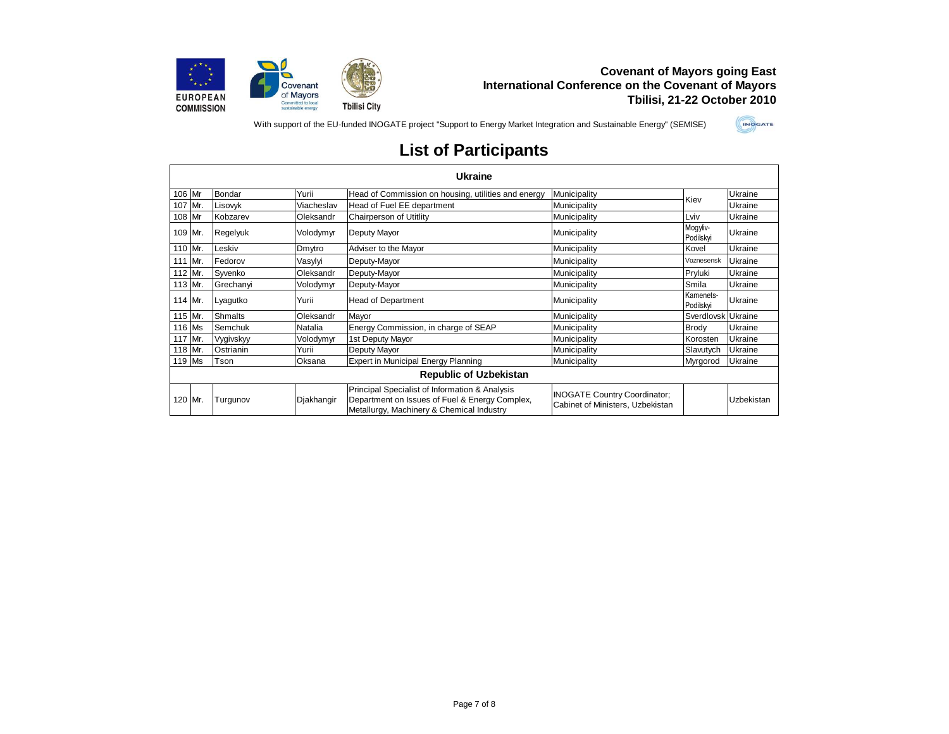

With support of the EU-funded INOGATE project "Support to Energy Market Integration and Sustainable Energy" (SEMISE)



|        | <b>Ukraine</b> |                |            |                                                                                                                                               |                                                                         |                        |            |  |  |
|--------|----------------|----------------|------------|-----------------------------------------------------------------------------------------------------------------------------------------------|-------------------------------------------------------------------------|------------------------|------------|--|--|
| 106 Mr |                | Bondar         | Yurii      | Head of Commission on housing, utilities and energy                                                                                           | Municipality                                                            | Kiev                   | Ukraine    |  |  |
|        | 107 Mr.        | Lisovyk        | Viacheslav | Head of Fuel EE department                                                                                                                    | Municipality                                                            |                        | Ukraine    |  |  |
| 108 Mr |                | Kobzarev       | Oleksandr  | Chairperson of Utitlity                                                                                                                       | Municipality                                                            | Lviv                   | Ukraine    |  |  |
|        | 109 Mr.        | Regelyuk       | Volodymyr  | Deputy Mayor                                                                                                                                  | Municipality                                                            | Mogyliv-<br>Podilskyi  | Ukraine    |  |  |
|        | 110 Mr.        | Leskiv         | Dmytro     | Adviser to the Mayor                                                                                                                          | Municipality                                                            | Kovel                  | Ukraine    |  |  |
|        | 111 Mr.        | Fedorov        | Vasylyi    | Deputy-Mayor                                                                                                                                  | Municipality                                                            | Voznesensk             | Ukraine    |  |  |
|        | 112 Mr.        | Syvenko        | Oleksandr  | Deputy-Mayor                                                                                                                                  | Municipality                                                            | Pryluki                | Ukraine    |  |  |
|        | 113 Mr.        | Grechanyi      | Volodymyr  | Deputy-Mayor                                                                                                                                  | Municipality                                                            | Smila                  | Ukraine    |  |  |
|        | 114 Mr.        | Lyagutko       | Yurii      | <b>Head of Department</b>                                                                                                                     | Municipality                                                            | Kamenets-<br>Podilskyi | Ukraine    |  |  |
|        | 115 Mr.        | <b>Shmalts</b> | Oleksandr  | Mayor                                                                                                                                         | Municipality                                                            | Sverdlovsk             | Ukraine    |  |  |
|        | 116 Ms         | Semchuk        | Natalia    | Energy Commission, in charge of SEAP                                                                                                          | Municipality                                                            | Brody                  | Ukraine    |  |  |
|        | 117 Mr.        | Vygivskyy      | Volodymyr  | 1st Deputy Mayor                                                                                                                              | Municipality                                                            | Korosten               | Ukraine    |  |  |
|        | 118 Mr.        | Ostrianin      | Yurii      | Deputy Mayor                                                                                                                                  | Municipality                                                            | Slavutych              | Ukraine    |  |  |
|        | 119 Ms         | Tson           | Oksana     | Expert in Municipal Energy Planning                                                                                                           | Municipality                                                            | Myrgorod               | Ukraine    |  |  |
|        |                |                |            | <b>Republic of Uzbekistan</b>                                                                                                                 |                                                                         |                        |            |  |  |
|        | 120 Mr.        | Turgunov       | Djakhangir | Principal Specialist of Information & Analysis<br>Department on Issues of Fuel & Energy Complex,<br>Metallurgy, Machinery & Chemical Industry | <b>INOGATE Country Coordinator;</b><br>Cabinet of Ministers, Uzbekistan |                        | Uzbekistan |  |  |